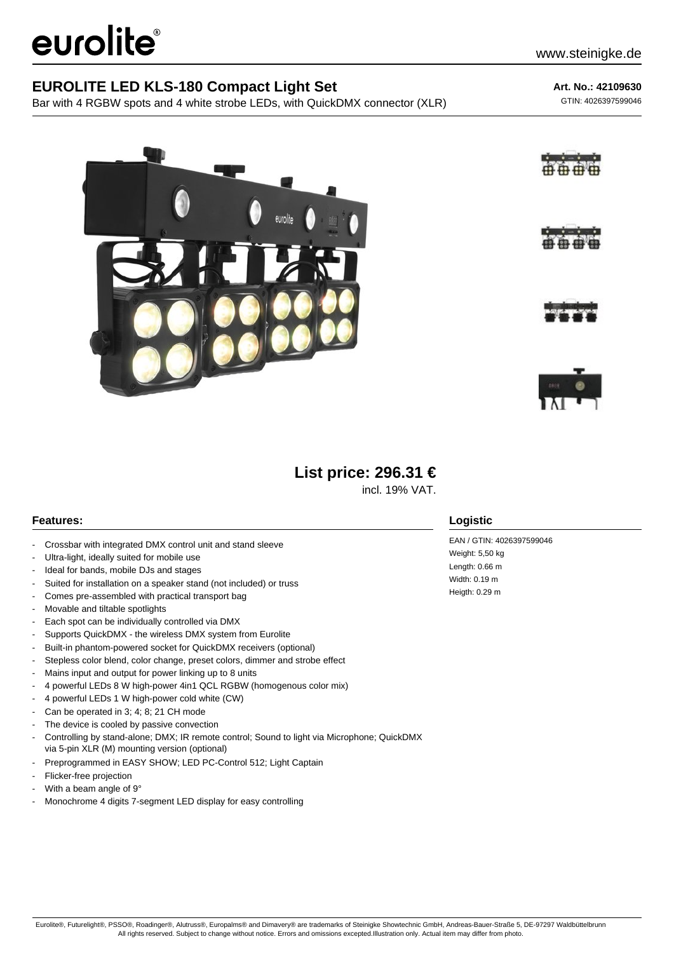# eurolite®

### **EUROLITE LED KLS-180 Compact Light Set**

Bar with 4 RGBW spots and 4 white strobe LEDs, with QuickDMX connector (XLR)

**Art. No.: 42109630**

GTIN: 4026397599046







# **List price: 296.31 €**

incl. 19% VAT.

#### **Features:**

- Crossbar with integrated DMX control unit and stand sleeve
- Ultra-light, ideally suited for mobile use
- Ideal for bands, mobile DJs and stages
- Suited for installation on a speaker stand (not included) or truss
- Comes pre-assembled with practical transport bag
- Movable and tiltable spotlights
- Each spot can be individually controlled via DMX
- Supports QuickDMX the wireless DMX system from Eurolite
- Built-in phantom-powered socket for QuickDMX receivers (optional)
- Stepless color blend, color change, preset colors, dimmer and strobe effect
- Mains input and output for power linking up to 8 units
- 4 powerful LEDs 8 W high-power 4in1 QCL RGBW (homogenous color mix)
- 4 powerful LEDs 1 W high-power cold white (CW)
- Can be operated in 3; 4; 8; 21 CH mode
- The device is cooled by passive convection
- Controlling by stand-alone; DMX; IR remote control; Sound to light via Microphone; QuickDMX via 5-pin XLR (M) mounting version (optional)
- Preprogrammed in EASY SHOW; LED PC-Control 512; Light Captain
- Flicker-free projection
- With a beam angle of 9°
- Monochrome 4 digits 7-segment LED display for easy controlling

#### **Logistic**

EAN / GTIN: 4026397599046 Weight: 5,50 kg Length: 0.66 m Width: 0.19 m Heigth: 0.29 m

Eurolite®, Futurelight®, PSSO®, Roadinger®, Alutruss®, Europalms® and Dimavery® are trademarks of Steinigke Showtechnic GmbH, Andreas-Bauer-Straße 5, DE-97297 Waldbüttelbrunn All rights reserved. Subject to change without notice. Errors and omissions excepted.Illustration only. Actual item may differ from photo.